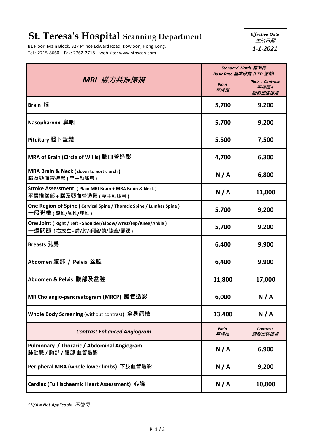## **St. Teresa's Hospital Scanning Department**

B1 Floor, Main Block, 327 Prince Edward Road, Kowloon, Hong Kong. Tel.: 2715-8660 Fax: 2762-2718 web site: www.sthscan.com

*Effective Date*  **生效日期** *1-1-2021*

| MRI 磁力共振掃描                                                                                   | Standard Wards 標準房<br>Basic Rate 基本收費 (HKD 港幣) |                                           |
|----------------------------------------------------------------------------------------------|------------------------------------------------|-------------------------------------------|
|                                                                                              | <b>Plain</b><br>平掃描                            | <b>Plain + Contrast</b><br>平掃描+<br>顯影加強掃描 |
| <b>Brain 腦</b>                                                                               | 5,700                                          | 9,200                                     |
| Nasopharynx 鼻咽                                                                               | 5,700                                          | 9,200                                     |
| Pituitary 腦下垂體                                                                               | 5,500                                          | 7,500                                     |
| MRA of Brain (Circle of Willis) 腦血管造影                                                        | 4,700                                          | 6,300                                     |
| MRA Brain & Neck (down to aortic arch)<br>腦及頸血管造影 (至主動脈弓)                                    | N/A                                            | 6,800                                     |
| Stroke Assessment ( Plain MRI Brain + MRA Brain & Neck )<br>平掃描腦部 + 腦及頸血管造影 (至主動脈弓)          | N/A                                            | 11,000                                    |
| One Region of Spine ( Cervical Spine / Thoracic Spine / Lumbar Spine )<br>−段脊椎 ( 頸椎/胸椎/腰椎 )  | 5,700                                          | 9,200                                     |
| One Joint (Right / Left - Shoulder/Elbow/Wrist/Hip/Knee/Ankle)<br>-邊關節(右或左 - 肩/肘/手腕/髖/膝蓋/腳踝) | 5,700                                          | 9,200                                     |
| Breasts 乳房                                                                                   | 6,400                                          | 9,900                                     |
| Abdomen 腹部 / Pelvis 盆腔                                                                       | 6,400                                          | 9,900                                     |
| Abdomen & Pelvis 腹部及盆腔                                                                       | 11,800                                         | 17,000                                    |
| MR Cholangio-pancreatogram (MRCP) 膽管造影                                                       | 6,000                                          | N/A                                       |
| Whole Body Screening (without contrast) 全身篩檢                                                 | 13,400                                         | N/A                                       |
| <b>Contrast Enhanced Angiogram</b>                                                           | <b>Plain</b><br>平掃描                            | <b>Contrast</b><br>顯影加強掃描                 |
| Pulmonary / Thoracic / Abdominal Angiogram<br>肺動脈 / 胸部 / 腹部 血管造影                             | N/A                                            | 6,900                                     |
| Peripheral MRA (whole lower limbs) 下肢血管造影                                                    | N/A                                            | 9,200                                     |
| Cardiac (Full Ischaemic Heart Assessment) 心臟                                                 | N/A                                            | 10,800                                    |

*\*N/A = Not Applicable* 不適用